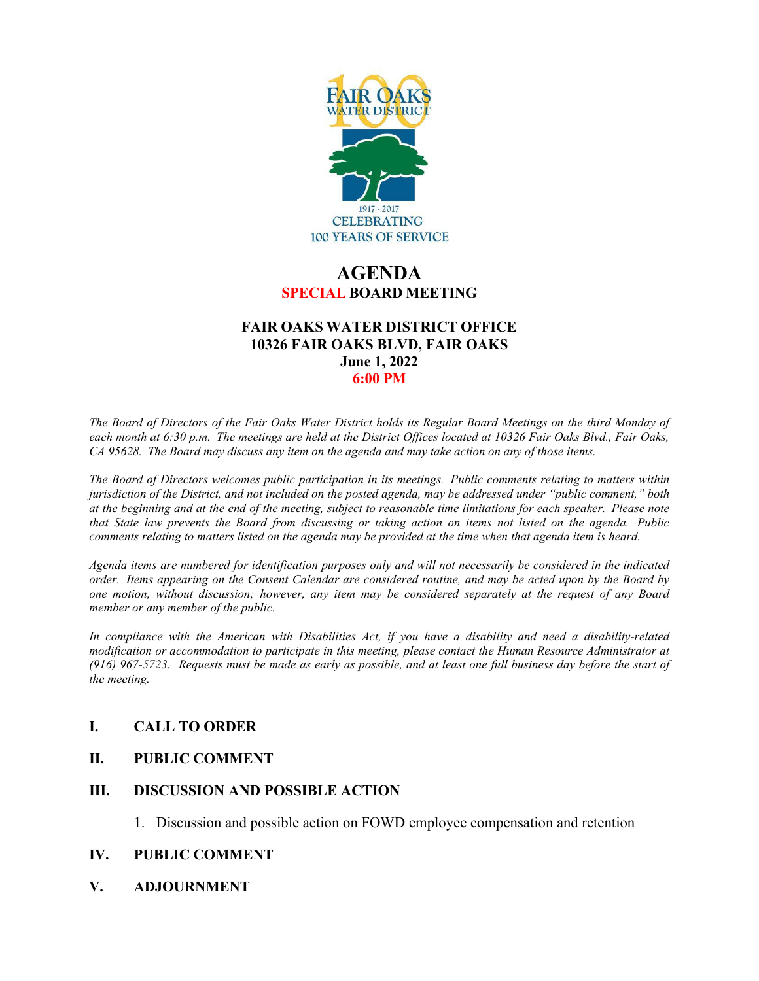

# **AGENDA SPECIAL BOARD MEETING**

## **FAIR OAKS WATER DISTRICT OFFICE 10326 FAIR OAKS BLVD, FAIR OAKS June 1, 2022 6:00 PM**

*The Board of Directors of the Fair Oaks Water District holds its Regular Board Meetings on the third Monday of each month at 6:30 p.m. The meetings are held at the District Offices located at 10326 Fair Oaks Blvd., Fair Oaks, CA 95628. The Board may discuss any item on the agenda and may take action on any of those items.* 

*The Board of Directors welcomes public participation in its meetings. Public comments relating to matters within jurisdiction of the District, and not included on the posted agenda, may be addressed under "public comment," both at the beginning and at the end of the meeting, subject to reasonable time limitations for each speaker. Please note that State law prevents the Board from discussing or taking action on items not listed on the agenda. Public comments relating to matters listed on the agenda may be provided at the time when that agenda item is heard.* 

*Agenda items are numbered for identification purposes only and will not necessarily be considered in the indicated order. Items appearing on the Consent Calendar are considered routine, and may be acted upon by the Board by one motion, without discussion; however, any item may be considered separately at the request of any Board member or any member of the public.* 

*In compliance with the American with Disabilities Act, if you have a disability and need a disability-related modification or accommodation to participate in this meeting, please contact the Human Resource Administrator at (916) 967-5723. Requests must be made as early as possible, and at least one full business day before the start of the meeting.* 

## **I. CALL TO ORDER**

## **II. PUBLIC COMMENT**

## **III. DISCUSSION AND POSSIBLE ACTION**

1. Discussion and possible action on FOWD employee compensation and retention

#### **IV. PUBLIC COMMENT**

**V. ADJOURNMENT**